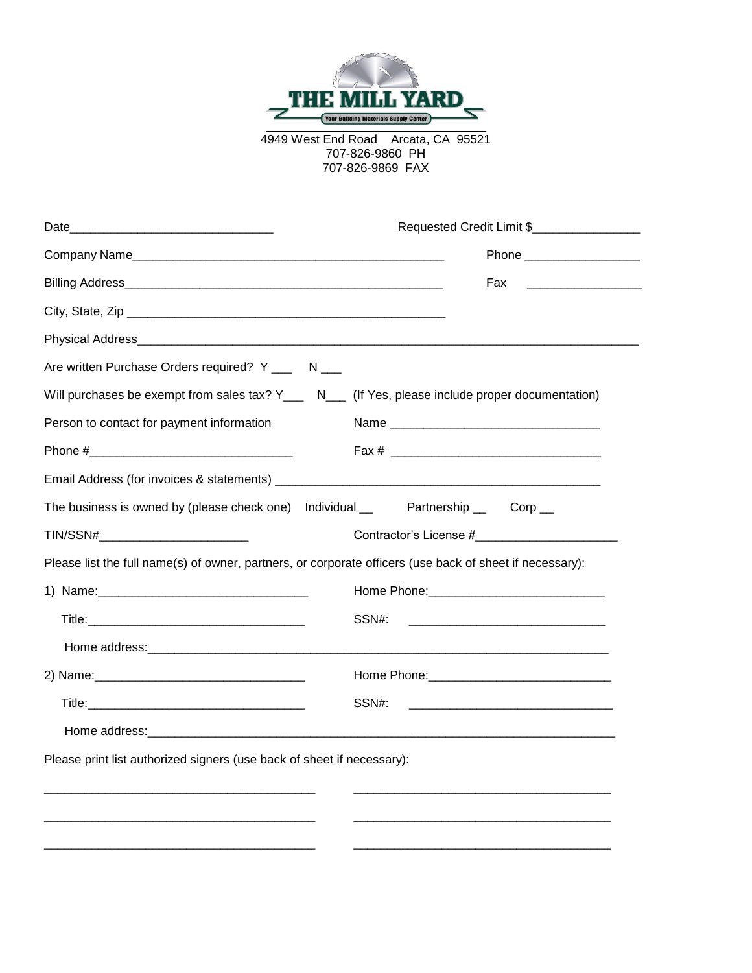

4949 West End Road Arcata, CA 95521 707-826-9860 PH 707-826-9869 FAX

| Date_                                                                                                    | Requested Credit Limit \$                                                                                     |  |
|----------------------------------------------------------------------------------------------------------|---------------------------------------------------------------------------------------------------------------|--|
|                                                                                                          |                                                                                                               |  |
|                                                                                                          | Fax                                                                                                           |  |
|                                                                                                          |                                                                                                               |  |
|                                                                                                          |                                                                                                               |  |
| Are written Purchase Orders required? Y ___ N ___                                                        |                                                                                                               |  |
| Will purchases be exempt from sales tax? Y___ N___ (If Yes, please include proper documentation)         |                                                                                                               |  |
| Person to contact for payment information                                                                |                                                                                                               |  |
|                                                                                                          |                                                                                                               |  |
|                                                                                                          |                                                                                                               |  |
| The business is owned by (please check one) Individual __ Partnership __ Corp __                         |                                                                                                               |  |
| TIN/SSN#____________________________                                                                     |                                                                                                               |  |
| Please list the full name(s) of owner, partners, or corporate officers (use back of sheet if necessary): |                                                                                                               |  |
|                                                                                                          | Home Phone: 2008 2010 2010 2010 2010 2011 2021 2022 2023 2024 2022 2023 2024 2022 2023 2024 2022 2023 2024 20 |  |
|                                                                                                          | SSN#:                                                                                                         |  |
|                                                                                                          |                                                                                                               |  |
|                                                                                                          | Home Phone: 2008 2010 2010 2010 2010 2011 2020 2021 2022 2022 2022 2023 2024 2022 2022 2023 2024 2022 2023 20 |  |
|                                                                                                          | SSN#:<br><u> 1989 - Johann Barn, mars and de Britain (b. 1989)</u>                                            |  |
|                                                                                                          |                                                                                                               |  |
| Please print list authorized signers (use back of sheet if necessary):                                   |                                                                                                               |  |
|                                                                                                          |                                                                                                               |  |
|                                                                                                          |                                                                                                               |  |
|                                                                                                          |                                                                                                               |  |
|                                                                                                          |                                                                                                               |  |